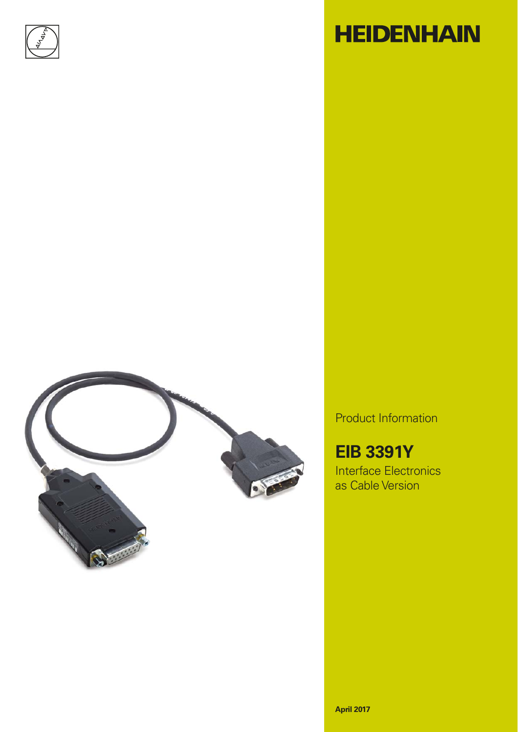

# **HEIDENHAIN**



Product Information

**EIB 3391Y** Interface Electronics as Cable Version

**April 2017**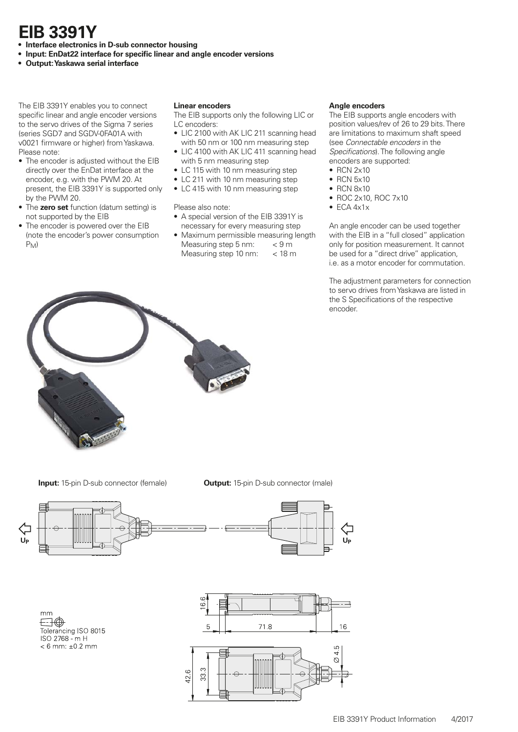# **EIB 3391 Y**

- **Interface electronics in D-sub connector housing**
- Input: EnDat22 interface for specific linear and angle encoder versions
- **Output: Yaskawa serial interface**

The EIB 3391Y enables you to connect specific linear and angle encoder versions to the servo drives of the Sigma 7 series (series SGD7 and SGDV-0FA01A with v0021 firmware or higher) from Yaskawa. Please note:

- The encoder is adjusted without the EIB directly over the EnDat interface at the encoder, e.g. with the PWM 20. At present, the EIB 3391Y is supported only by the PWM 20.
- The **zero set** function (datum setting) is not supported by the EIB
- The encoder is powered over the EIB (note the encoder's power consumption  $P_M$

### **Linear encoders**

- The EIB supports only the following LIC or LC encoders:
- LIC 2100 with AK LIC 211 scanning head with 50 nm or 100 nm measuring step
- LIC 4100 with AK LIC 411 scanning head with 5 nm measuring step
- LC 115 with 10 nm measuring step
- LC 211 with 10 nm measuring step
- LC 415 with 10 nm measuring step

Please also note:

- A special version of the EIB 3391Y is necessary for every measuring step
- Maximum permissible measuring length Measuring step 5 nm: < 9 m Measuring step 10 nm: < 18 m

### **Angle encoders**

The EIB supports angle encoders with position values/rev of 26 to 29 bits. There are limitations to maximum shaft speed (see *Connectable encoders* in the *Specifications*). The following angle encoders are supported:

- RCN 2x10
- RCN 5x10
- RCN 8x10
- ROC 2x10, ROC 7x10
- $\bullet$  ECA  $4x1x$

An angle encoder can be used together with the EIB in a "full closed" application only for position measurement. It cannot be used for a "direct drive" application, i.e. as a motor encoder for commutation.

The adjustment parameters for connection to servo drives from Yaskawa are listed in the S Specifications of the respective encoder.



**Input:** 15-pin D-sub connector (female) **Output:** 15-pin D-sub connector (male)



mm ⊟⊕ Tolerancing ISO 8015 ISO 2768 - m H  $< 6$  mm:  $±0.2$  mm

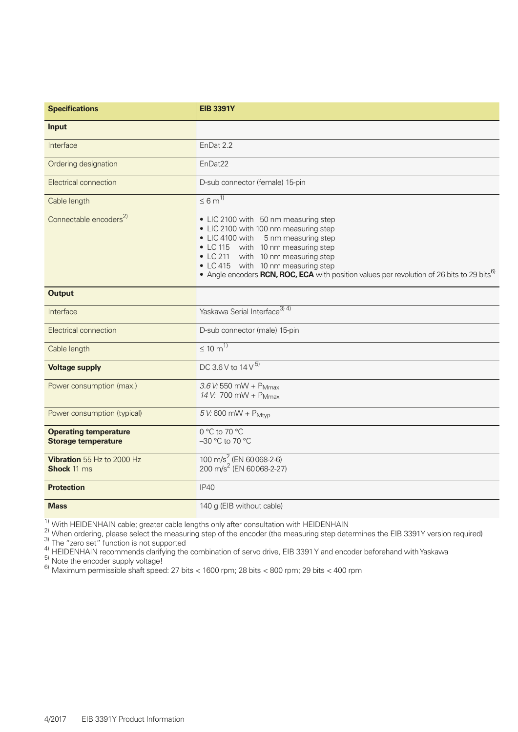| <b>Specifications</b>                                      | <b>EIB 3391Y</b>                                                                                                                                                                                                                                                                                                                                 |
|------------------------------------------------------------|--------------------------------------------------------------------------------------------------------------------------------------------------------------------------------------------------------------------------------------------------------------------------------------------------------------------------------------------------|
| <b>Input</b>                                               |                                                                                                                                                                                                                                                                                                                                                  |
| Interface                                                  | EnDat 2.2                                                                                                                                                                                                                                                                                                                                        |
| Ordering designation                                       | EnDat22                                                                                                                                                                                                                                                                                                                                          |
| Electrical connection                                      | D-sub connector (female) 15-pin                                                                                                                                                                                                                                                                                                                  |
| Cable length                                               | $\leq 6 \text{ m}^{1}$                                                                                                                                                                                                                                                                                                                           |
| Connectable encoders <sup>2)</sup>                         | • LIC 2100 with 50 nm measuring step<br>• LIC 2100 with 100 nm measuring step<br>• LIC 4100 with 5 nm measuring step<br>• LC 115 with 10 nm measuring step<br>• LC 211 with 10 nm measuring step<br>• LC 415 with 10 nm measuring step<br>• Angle encoders RCN, ROC, ECA with position values per revolution of 26 bits to 29 bits <sup>6)</sup> |
| <b>Output</b>                                              |                                                                                                                                                                                                                                                                                                                                                  |
| Interface                                                  | Yaskawa Serial Interface <sup>3) 4)</sup>                                                                                                                                                                                                                                                                                                        |
| Electrical connection                                      | D-sub connector (male) 15-pin                                                                                                                                                                                                                                                                                                                    |
| Cable length                                               | $\leq 10 \text{ m}^{1}$                                                                                                                                                                                                                                                                                                                          |
| <b>Voltage supply</b>                                      | DC 3.6 V to 14 V 5)                                                                                                                                                                                                                                                                                                                              |
| Power consumption (max.)                                   | 3.6 V: 550 mW + P <sub>Mmax</sub><br>14 V: 700 mW + P <sub>Mmax</sub>                                                                                                                                                                                                                                                                            |
| Power consumption (typical)                                | $5 V: 600$ mW + $P_{Mtyp}$                                                                                                                                                                                                                                                                                                                       |
| <b>Operating temperature</b><br><b>Storage temperature</b> | 0 °C to 70 °C<br>-30 °C to 70 °C                                                                                                                                                                                                                                                                                                                 |
| Vibration 55 Hz to 2000 Hz<br><b>Shock 11 ms</b>           | 100 m/s <sup>2</sup> (EN 60068-2-6)<br>200 m/s <sup>2</sup> (EN 60068-2-27)                                                                                                                                                                                                                                                                      |
| <b>Protection</b>                                          | <b>IP40</b>                                                                                                                                                                                                                                                                                                                                      |
| <b>Mass</b>                                                | 140 g (EIB without cable)                                                                                                                                                                                                                                                                                                                        |

 $\frac{1}{2}$  With HEIDENHAIN cable; greater cable lengths only after consultation with HEIDENHAIN

<sup>2)</sup> When ordering, please select the measuring step of the encoder (the measuring step determines the EIB 3391Y version required)<br><sup>3)</sup> The "zero set" function is not supported

 $^{4)}$  HEIDENHAIN recommends clarifying the combination of servo drive, EIB 3391 Y and encoder beforehand with Yaskawa

 $^{5)}$  Note the encoder supply voltage!

 $^{6)}$  Maximum permissible shaft speed: 27 bits < 1600 rpm; 28 bits < 800 rpm; 29 bits < 400 rpm